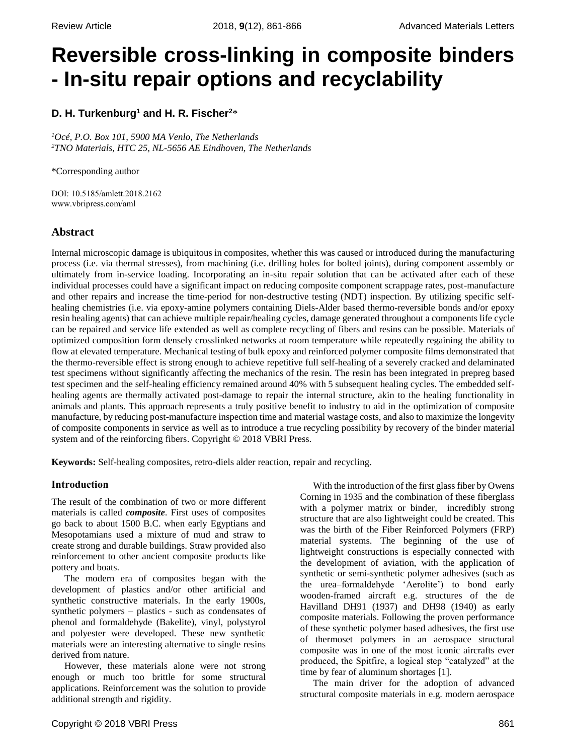# **Reversible cross-linking in composite binders - In-situ repair options and recyclability**

## **D. H. Turkenburg<sup>1</sup> and H. R. Fischer<sup>2</sup>**\*

*<sup>1</sup>Océ, P.O. Box 101, 5900 MA Venlo, The Netherlands <sup>2</sup>TNO Materials, HTC 25, NL-5656 AE Eindhoven, The Netherlands*

\*Corresponding author

DOI: 10.5185/amlett.2018.2162 www.vbripress.com/aml

## **Abstract**

Internal microscopic damage is ubiquitous in composites, whether this was caused or introduced during the manufacturing process (i.e. via thermal stresses), from machining (i.e. drilling holes for bolted joints), during component assembly or ultimately from in-service loading. Incorporating an in-situ repair solution that can be activated after each of these individual processes could have a significant impact on reducing composite component scrappage rates, post-manufacture and other repairs and increase the time-period for non-destructive testing (NDT) inspection. By utilizing specific selfhealing chemistries (i.e. via epoxy-amine polymers containing Diels-Alder based thermo-reversible bonds and/or epoxy resin healing agents) that can achieve multiple repair/healing cycles, damage generated throughout a components life cycle can be repaired and service life extended as well as complete recycling of fibers and resins can be possible. Materials of optimized composition form densely crosslinked networks at room temperature while repeatedly regaining the ability to flow at elevated temperature. Mechanical testing of bulk epoxy and reinforced polymer composite films demonstrated that the thermo-reversible effect is strong enough to achieve repetitive full self-healing of a severely cracked and delaminated test specimens without significantly affecting the mechanics of the resin. The resin has been integrated in prepreg based test specimen and the self-healing efficiency remained around 40% with 5 subsequent healing cycles. The embedded selfhealing agents are thermally activated post-damage to repair the internal structure, akin to the healing functionality in animals and plants. This approach represents a truly positive benefit to industry to aid in the optimization of composite manufacture, by reducing post-manufacture inspection time and material wastage costs, and also to maximize the longevity of composite components in service as well as to introduce a true recycling possibility by recovery of the binder material system and of the reinforcing fibers. Copyright © 2018 VBRI Press.

**Keywords:** Self-healing composites, retro-diels alder reaction, repair and recycling.

#### **Introduction**

The result of the combination of two or more different materials is called *composite*. First uses of composites go back to about 1500 B.C. when early Egyptians and Mesopotamians used a mixture of mud and straw to create strong and durable buildings. Straw provided also reinforcement to other ancient composite products like pottery and boats.

The modern era of composites began with the development of plastics and/or other artificial and synthetic constructive materials. In the early 1900s, synthetic polymers – plastics - such as condensates of phenol and formaldehyde (Bakelite), vinyl, polystyrol and polyester were developed. These new synthetic materials were an interesting alternative to single resins derived from nature.

However, these materials alone were not strong enough or much too brittle for some structural applications. Reinforcement was the solution to provide additional strength and rigidity.

With the introduction of the first glass fiber by Owens Corning in 1935 and the combination of these fiberglass with a polymer matrix or binder, incredibly strong structure that are also lightweight could be created. This was the birth of the Fiber Reinforced Polymers (FRP) material systems. The beginning of the use of lightweight constructions is especially connected with the development of aviation, with the application of synthetic or semi-synthetic polymer adhesives (such as the urea–formaldehyde 'Aerolite') to bond early wooden-framed aircraft e.g. structures of the de Havilland DH91 (1937) and DH98 (1940) as early composite materials. Following the proven performance of these synthetic polymer based adhesives, the first use of thermoset polymers in an aerospace structural composite was in one of the most iconic aircrafts ever produced, the Spitfire, a logical step "catalyzed" at the time by fear of aluminum shortages [1].

The main driver for the adoption of advanced structural composite materials in e.g. modern aerospace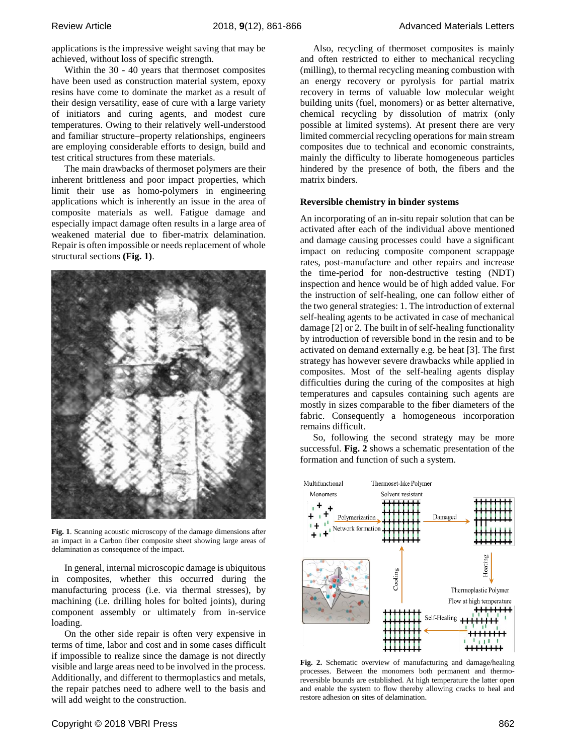applications is the impressive weight saving that may be achieved, without loss of specific strength.

Within the 30 - 40 years that thermoset composites have been used as construction material system, epoxy resins have come to dominate the market as a result of their design versatility, ease of cure with a large variety of initiators and curing agents, and modest cure temperatures. Owing to their relatively well-understood and familiar structure–property relationships, engineers are employing considerable efforts to design, build and test critical structures from these materials.

The main drawbacks of thermoset polymers are their inherent brittleness and poor impact properties, which limit their use as homo-polymers in engineering applications which is inherently an issue in the area of composite materials as well. Fatigue damage and especially impact damage often results in a large area of weakened material due to fiber-matrix delamination. Repair is often impossible or needs replacement of whole structural sections **(Fig. 1)**.



**Fig. 1**. Scanning acoustic microscopy of the damage dimensions after an impact in a Carbon fiber composite sheet showing large areas of delamination as consequence of the impact.

In general, internal microscopic damage is ubiquitous in composites, whether this occurred during the manufacturing process (i.e. via thermal stresses), by machining (i.e. drilling holes for bolted joints), during component assembly or ultimately from in-service loading.

On the other side repair is often very expensive in terms of time, labor and cost and in some cases difficult if impossible to realize since the damage is not directly visible and large areas need to be involved in the process. Additionally, and different to thermoplastics and metals, the repair patches need to adhere well to the basis and will add weight to the construction.

Also, recycling of thermoset composites is mainly and often restricted to either to mechanical recycling (milling), to thermal recycling meaning combustion with an energy recovery or pyrolysis for partial matrix recovery in terms of valuable low molecular weight building units (fuel, monomers) or as better alternative, chemical recycling by dissolution of matrix (only possible at limited systems). At present there are very limited commercial recycling operations for main stream composites due to technical and economic constraints, mainly the difficulty to liberate homogeneous particles hindered by the presence of both, the fibers and the matrix binders.

#### **Reversible chemistry in binder systems**

An incorporating of an in-situ repair solution that can be activated after each of the individual above mentioned and damage causing processes could have a significant impact on reducing composite component scrappage rates, post-manufacture and other repairs and increase the time-period for non-destructive testing (NDT) inspection and hence would be of high added value. For the instruction of self-healing, one can follow either of the two general strategies: 1. The introduction of external self-healing agents to be activated in case of mechanical damage [2] or 2. The built in of self-healing functionality by introduction of reversible bond in the resin and to be activated on demand externally e.g. be heat [3]. The first strategy has however severe drawbacks while applied in composites. Most of the self-healing agents display difficulties during the curing of the composites at high temperatures and capsules containing such agents are mostly in sizes comparable to the fiber diameters of the fabric. Consequently a homogeneous incorporation remains difficult.

So, following the second strategy may be more successful. **Fig. 2** shows a schematic presentation of the formation and function of such a system.



**Fig. 2.** Schematic overview of manufacturing and damage/healing processes. Between the monomers both permanent and thermoreversible bounds are established. At high temperature the latter open and enable the system to flow thereby allowing cracks to heal and restore adhesion on sites of delamination.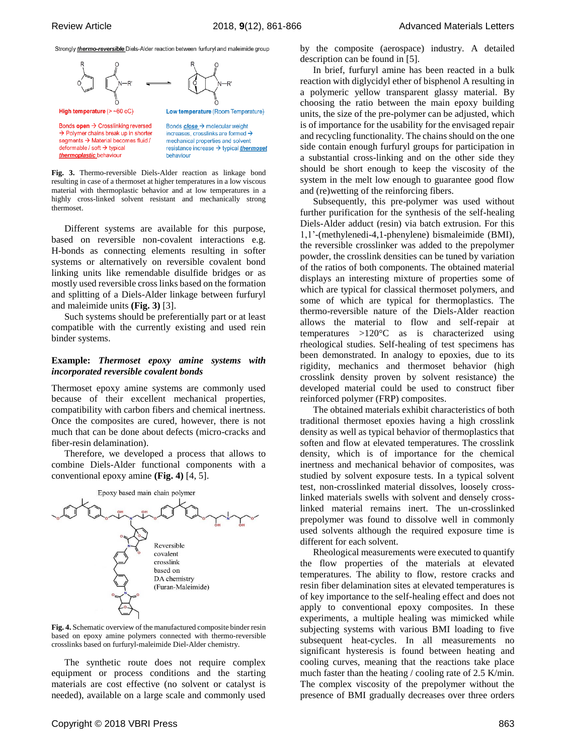Strongly *thermo-reversible* Diels-Alder reaction between furfuryl and maleimide group



**Fig. 3.** Thermo-reversible Diels-Alder reaction as linkage bond resulting in case of a thermoset at higher temperatures in a low viscous material with thermoplastic behavior and at low temperatures in a highly cross-linked solvent resistant and mechanically strong thermoset.

Different systems are available for this purpose, based on reversible non-covalent interactions e.g. H-bonds as connecting elements resulting in softer systems or alternatively on reversible covalent bond linking units like remendable disulfide bridges or as mostly used reversible cross links based on the formation and splitting of a Diels-Alder linkage between furfuryl and maleimide units **(Fig. 3)** [3].

Such systems should be preferentially part or at least compatible with the currently existing and used rein binder systems.

#### **Example:** *Thermoset epoxy amine systems with incorporated reversible covalent bonds*

Thermoset epoxy amine systems are commonly used because of their excellent mechanical properties, compatibility with carbon fibers and chemical inertness. Once the composites are cured, however, there is not much that can be done about defects (micro-cracks and fiber-resin delamination).

Therefore, we developed a process that allows to combine Diels-Alder functional components with a conventional epoxy amine **(Fig. 4)** [4, 5].



**Fig. 4.** Schematic overview of the manufactured composite binder resin based on epoxy amine polymers connected with thermo-reversible crosslinks based on furfuryl-maleimide Diel-Alder chemistry.

The synthetic route does not require complex equipment or process conditions and the starting materials are cost effective (no solvent or catalyst is needed), available on a large scale and commonly used

by the composite (aerospace) industry. A detailed description can be found in [5].

In brief, furfuryl amine has been reacted in a bulk reaction with diglycidyl ether of bisphenol A resulting in a polymeric yellow transparent glassy material. By choosing the ratio between the main epoxy building units, the size of the pre-polymer can be adjusted, which is of importance for the usability for the envisaged repair and recycling functionality. The chains should on the one side contain enough furfuryl groups for participation in a substantial cross-linking and on the other side they should be short enough to keep the viscosity of the system in the melt low enough to guarantee good flow and (re)wetting of the reinforcing fibers.

Subsequently, this pre-polymer was used without further purification for the synthesis of the self-healing Diels-Alder adduct (resin) via batch extrusion. For this 1,1'-(methylenedi-4,1-phenylene) bismaleimide (BMI), the reversible crosslinker was added to the prepolymer powder, the crosslink densities can be tuned by variation of the ratios of both components. The obtained material displays an interesting mixture of properties some of which are typical for classical thermoset polymers, and some of which are typical for thermoplastics. The thermo-reversible nature of the Diels-Alder reaction allows the material to flow and self-repair at temperatures >120°C as is characterized using rheological studies. Self-healing of test specimens has been demonstrated. In analogy to epoxies, due to its rigidity, mechanics and thermoset behavior (high crosslink density proven by solvent resistance) the developed material could be used to construct fiber reinforced polymer (FRP) composites.

The obtained materials exhibit characteristics of both traditional thermoset epoxies having a high crosslink density as well as typical behavior of thermoplastics that soften and flow at elevated temperatures. The crosslink density, which is of importance for the chemical inertness and mechanical behavior of composites, was studied by solvent exposure tests. In a typical solvent test, non-crosslinked material dissolves, loosely crosslinked materials swells with solvent and densely crosslinked material remains inert. The un-crosslinked prepolymer was found to dissolve well in commonly used solvents although the required exposure time is different for each solvent.

Rheological measurements were executed to quantify the flow properties of the materials at elevated temperatures. The ability to flow, restore cracks and resin fiber delamination sites at elevated temperatures is of key importance to the self-healing effect and does not apply to conventional epoxy composites. In these experiments, a multiple healing was mimicked while subjecting systems with various BMI loading to five subsequent heat-cycles. In all measurements no significant hysteresis is found between heating and cooling curves, meaning that the reactions take place much faster than the heating / cooling rate of 2.5 K/min. The complex viscosity of the prepolymer without the presence of BMI gradually decreases over three orders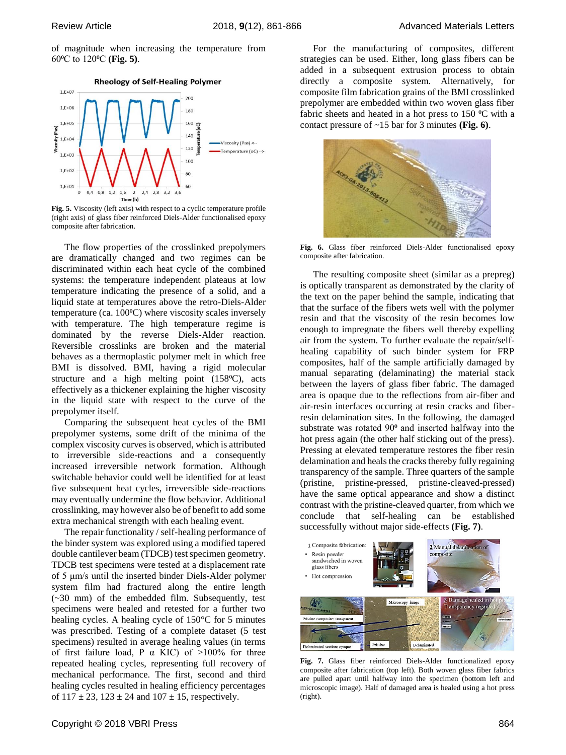of magnitude when increasing the temperature from 60⁰C to 120⁰C **(Fig. 5)**.





**Fig. 5.** Viscosity (left axis) with respect to a cyclic temperature profile (right axis) of glass fiber reinforced Diels-Alder functionalised epoxy composite after fabrication.

The flow properties of the crosslinked prepolymers are dramatically changed and two regimes can be discriminated within each heat cycle of the combined systems: the temperature independent plateaus at low temperature indicating the presence of a solid, and a liquid state at temperatures above the retro-Diels-Alder temperature (ca. 100°C) where viscosity scales inversely with temperature. The high temperature regime is dominated by the reverse Diels-Alder reaction. Reversible crosslinks are broken and the material behaves as a thermoplastic polymer melt in which free BMI is dissolved. BMI, having a rigid molecular structure and a high melting point  $(158\text{°C})$ , acts effectively as a thickener explaining the higher viscosity in the liquid state with respect to the curve of the prepolymer itself.

Comparing the subsequent heat cycles of the BMI prepolymer systems, some drift of the minima of the complex viscosity curves is observed, which is attributed to irreversible side-reactions and a consequently increased irreversible network formation. Although switchable behavior could well be identified for at least five subsequent heat cycles, irreversible side-reactions may eventually undermine the flow behavior. Additional crosslinking, may however also be of benefit to add some extra mechanical strength with each healing event.

The repair functionality / self-healing performance of the binder system was explored using a modified tapered double cantilever beam (TDCB) test specimen geometry. TDCB test specimens were tested at a displacement rate of 5 μm/s until the inserted binder Diels-Alder polymer system film had fractured along the entire length (~30 mm) of the embedded film. Subsequently, test specimens were healed and retested for a further two healing cycles. A healing cycle of 150°C for 5 minutes was prescribed. Testing of a complete dataset (5 test specimens) resulted in average healing values (in terms of first failure load, P  $\alpha$  KIC) of >100% for three repeated healing cycles, representing full recovery of mechanical performance. The first, second and third healing cycles resulted in healing efficiency percentages of  $117 \pm 23$ ,  $123 \pm 24$  and  $107 \pm 15$ , respectively.

For the manufacturing of composites, different strategies can be used. Either, long glass fibers can be added in a subsequent extrusion process to obtain directly a composite system. Alternatively, for composite film fabrication grains of the BMI crosslinked prepolymer are embedded within two woven glass fiber fabric sheets and heated in a hot press to  $150 \degree C$  with a contact pressure of ~15 bar for 3 minutes **(Fig. 6)**.



**Fig. 6.** Glass fiber reinforced Diels-Alder functionalised epoxy composite after fabrication.

The resulting composite sheet (similar as a prepreg) is optically transparent as demonstrated by the clarity of the text on the paper behind the sample, indicating that that the surface of the fibers wets well with the polymer resin and that the viscosity of the resin becomes low enough to impregnate the fibers well thereby expelling air from the system. To further evaluate the repair/selfhealing capability of such binder system for FRP composites, half of the sample artificially damaged by manual separating (delaminating) the material stack between the layers of glass fiber fabric. The damaged area is opaque due to the reflections from air-fiber and air-resin interfaces occurring at resin cracks and fiberresin delamination sites. In the following, the damaged substrate was rotated  $90<sup>o</sup>$  and inserted halfway into the hot press again (the other half sticking out of the press). Pressing at elevated temperature restores the fiber resin delamination and heals the cracks thereby fully regaining transparency of the sample. Three quarters of the sample (pristine, pristine-pressed, pristine-cleaved-pressed) have the same optical appearance and show a distinct contrast with the pristine-cleaved quarter, from which we conclude that self-healing can be established successfully without major side-effects **(Fig. 7)**.



**Fig. 7.** Glass fiber reinforced Diels-Alder functionalized epoxy composite after fabrication (top left). Both woven glass fiber fabrics are pulled apart until halfway into the specimen (bottom left and microscopic image). Half of damaged area is healed using a hot press (right).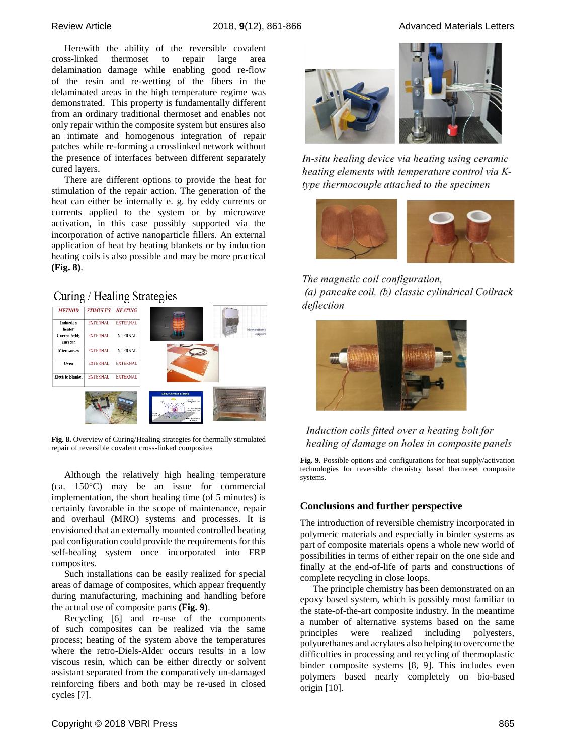Review Article **2018, 9**(12), 861-866 Advanced Materials Letters

Herewith the ability of the reversible covalent cross-linked thermoset to repair large area delamination damage while enabling good re-flow of the resin and re-wetting of the fibers in the delaminated areas in the high temperature regime was demonstrated. This property is fundamentally different from an ordinary traditional thermoset and enables not only repair within the composite system but ensures also an intimate and homogenous integration of repair patches while re-forming a crosslinked network without the presence of interfaces between different separately cured layers.

There are different options to provide the heat for stimulation of the repair action. The generation of the heat can either be internally e. g. by eddy currents or currents applied to the system or by microwave activation, in this case possibly supported via the incorporation of active nanoparticle fillers. An external application of heat by heating blankets or by induction heating coils is also possible and may be more practical **(Fig. 8)**.

## Curing / Healing Strategies



**Fig. 8.** Overview of Curing/Healing strategies for thermally stimulated repair of reversible covalent cross-linked composites

Although the relatively high healing temperature  $(ca. 150°C)$  may be an issue for commercial implementation, the short healing time (of 5 minutes) is certainly favorable in the scope of maintenance, repair and overhaul (MRO) systems and processes. It is envisioned that an externally mounted controlled heating pad configuration could provide the requirements for this self-healing system once incorporated into FRP composites.

Such installations can be easily realized for special areas of damage of composites, which appear frequently during manufacturing, machining and handling before the actual use of composite parts **(Fig. 9)**.

Recycling [6] and re-use of the components of such composites can be realized via the same process; heating of the system above the temperatures where the retro-Diels-Alder occurs results in a low viscous resin, which can be either directly or solvent assistant separated from the comparatively un-damaged reinforcing fibers and both may be re-used in closed cycles [7].



In-situ healing device via heating using ceramic heating elements with temperature control via Ktype thermocouple attached to the specimen



The magnetic coil configuration, (a) pancake coil, (b) classic cylindrical Coilrack deflection



## Induction coils fitted over a heating bolt for healing of damage on holes in composite panels

**Fig. 9.** Possible options and configurations for heat supply/activation technologies for reversible chemistry based thermoset composite systems.

## **Conclusions and further perspective**

The introduction of reversible chemistry incorporated in polymeric materials and especially in binder systems as part of composite materials opens a whole new world of possibilities in terms of either repair on the one side and finally at the end-of-life of parts and constructions of complete recycling in close loops.

The principle chemistry has been demonstrated on an epoxy based system, which is possibly most familiar to the state-of-the-art composite industry. In the meantime a number of alternative systems based on the same principles were realized including polyesters, polyurethanes and acrylates also helping to overcome the difficulties in processing and recycling of thermoplastic binder composite systems [8, 9]. This includes even polymers based nearly completely on bio-based origin [10].